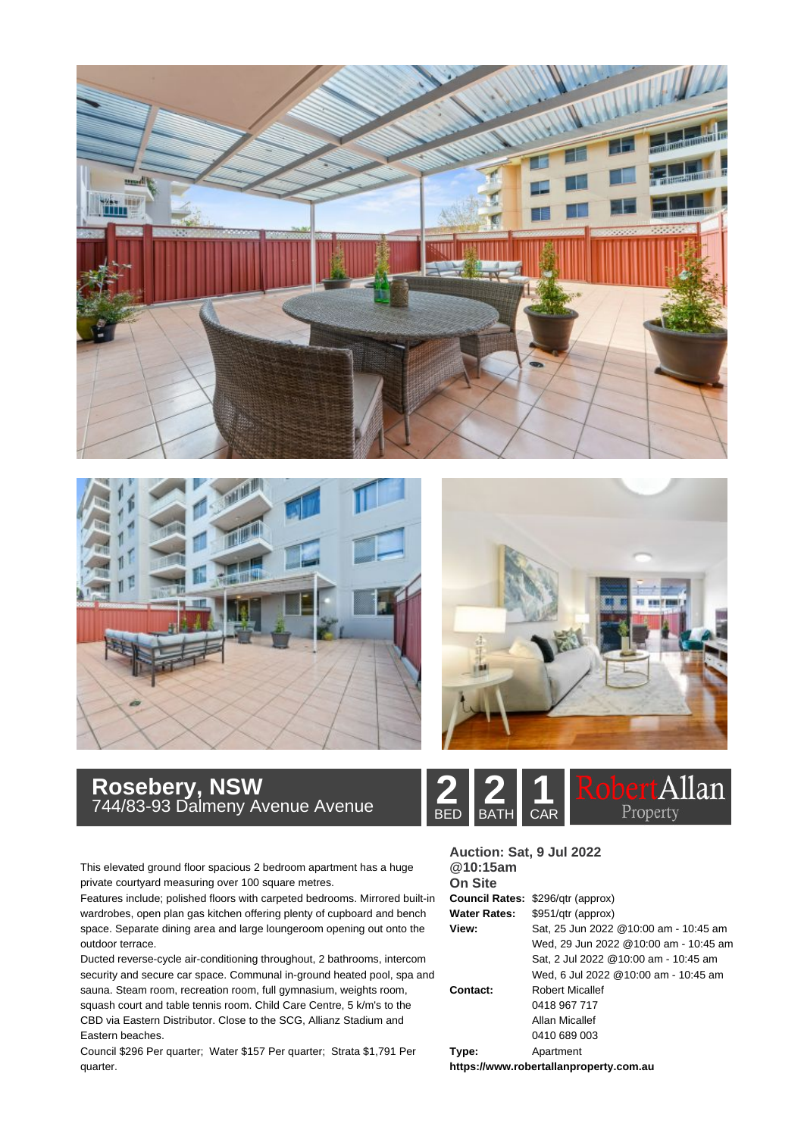





## **Rosebery, NSW**<br>744/83-93 Dalmeny Avenue Avenue **2008 RATH** CAR

This elevated ground floor spacious 2 bedroom apartment has a huge private courtyard measuring over 100 square metres.

Features include; polished floors with carpeted bedrooms. Mirrored built-in wardrobes, open plan gas kitchen offering plenty of cupboard and bench space. Separate dining area and large loungeroom opening out onto the outdoor terrace.

Ducted reverse-cycle air-conditioning throughout, 2 bathrooms, intercom security and secure car space. Communal in-ground heated pool, spa and sauna. Steam room, recreation room, full gymnasium, weights room, squash court and table tennis room. Child Care Centre, 5 k/m's to the CBD via Eastern Distributor. Close to the SCG, Allianz Stadium and Eastern beaches.

Council \$296 Per quarter; Water \$157 Per quarter; Strata \$1,791 Per quarter.



| Auction: Sat, 9 Jul 2022<br>@10:15am   |                                          |
|----------------------------------------|------------------------------------------|
| <b>On Site</b>                         |                                          |
|                                        |                                          |
|                                        | <b>Council Rates: \$296/gtr (approx)</b> |
| <b>Water Rates:</b>                    | \$951/gtr (approx)                       |
| View:                                  | Sat, 25 Jun 2022 @10:00 am - 10:45 am    |
|                                        | Wed, 29 Jun 2022 @10:00 am - 10:45 am    |
|                                        | Sat. 2 Jul 2022 @10:00 am - 10:45 am     |
|                                        | Wed, 6 Jul 2022 @10:00 am - 10:45 am     |
| Contact:                               | <b>Robert Micallef</b>                   |
|                                        | 0418 967 717                             |
|                                        | Allan Micallef                           |
|                                        | 0410 689 003                             |
| Type:                                  | Apartment                                |
| https://www.robertallanproperty.com.au |                                          |